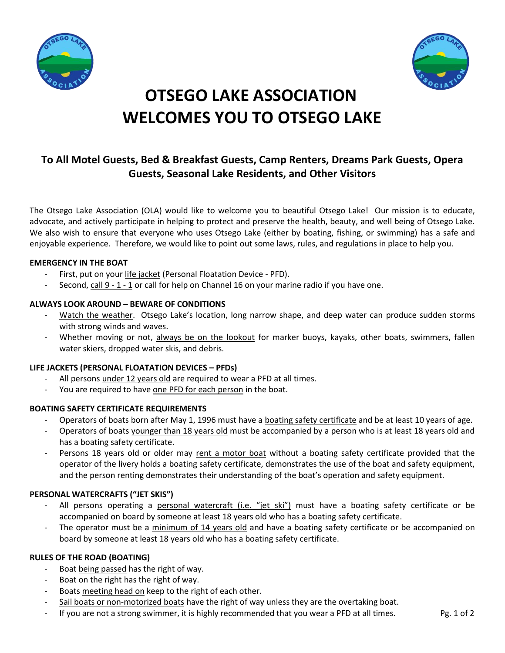



# **OTSEGO LAKE ASSOCIATION WELCOMES YOU TO OTSEGO LAKE**

# **To All Motel Guests, Bed & Breakfast Guests, Camp Renters, Dreams Park Guests, Opera Guests, Seasonal Lake Residents, and Other Visitors**

The Otsego Lake Association (OLA) would like to welcome you to beautiful Otsego Lake! Our mission is to educate, advocate, and actively participate in helping to protect and preserve the health, beauty, and well being of Otsego Lake. We also wish to ensure that everyone who uses Otsego Lake (either by boating, fishing, or swimming) has a safe and enjoyable experience. Therefore, we would like to point out some laws, rules, and regulations in place to help you.

# **EMERGENCY IN THE BOAT**

- First, put on your life jacket (Personal Floatation Device PFD).
- Second, call  $9 1 1$  or call for help on Channel 16 on your marine radio if you have one.

# **ALWAYS LOOK AROUND – BEWARE OF CONDITIONS**

- Watch the weather. Otsego Lake's location, long narrow shape, and deep water can produce sudden storms with strong winds and waves.
- Whether moving or not, always be on the lookout for marker buoys, kayaks, other boats, swimmers, fallen water skiers, dropped water skis, and debris.

## **LIFE JACKETS (PERSONAL FLOATATION DEVICES – PFDs)**

- All persons under 12 years old are required to wear a PFD at all times.
- You are required to have one PFD for each person in the boat.

# **BOATING SAFETY CERTIFICATE REQUIREMENTS**

- Operators of boats born after May 1, 1996 must have a boating safety certificate and be at least 10 years of age.
- Operators of boats younger than 18 years old must be accompanied by a person who is at least 18 years old and has a boating safety certificate.
- Persons 18 years old or older may rent a motor boat without a boating safety certificate provided that the operator of the livery holds a boating safety certificate, demonstrates the use of the boat and safety equipment, and the person renting demonstrates their understanding of the boat's operation and safety equipment.

# **PERSONAL WATERCRAFTS ("JET SKIS")**

- All persons operating a personal watercraft (i.e. "jet ski") must have a boating safety certificate or be accompanied on board by someone at least 18 years old who has a boating safety certificate.
- The operator must be a minimum of 14 years old and have a boating safety certificate or be accompanied on board by someone at least 18 years old who has a boating safety certificate.

## **RULES OF THE ROAD (BOATING)**

- Boat being passed has the right of way.
- Boat on the right has the right of way.
- Boats meeting head on keep to the right of each other.
- Sail boats or non-motorized boats have the right of way unless they are the overtaking boat.
- If you are not a strong swimmer, it is highly recommended that you wear a PFD at all times. Pg. 1 of 2